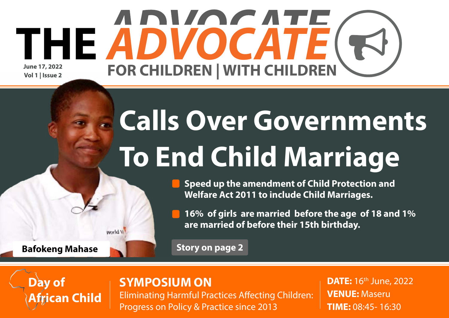### **June 17, 2022 Vol 1 | Issue 2** THE ABVOCATE( FOR CHILDREN | WITH CHILDREN

# **Calls Over Governments To End Child Marriage**

**• Speed up the amendment of Child Protection and Welfare Act 2011 to include Child Marriages.**

**• 16% of girls are married before the age of 18 and 1% are married of before their 15th birthday.**

**Story on page 2**

#### **SYMPOSIUM ON**

Eliminating Harmful Practices Affecting Children: Progress on Policy & Practice since 2013

**DATE:** 16<sup>th</sup> June, 2022 **VENUE:** Maseru **TIME:** 08:45- 16:30

**Bafokeng Mahase**

**African Child**

world V

**Day of**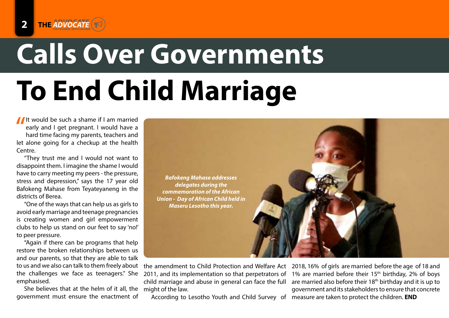## **Calls Over Governments To End Child Marriage** Advocacy

It would be such a shame if I am married<br>early and I get pregnant. I would have a<br>hard time facing my parents, teachers and<br>let alone going for a checkup at the bealth early and I get pregnant. I would have a hard time facing my parents, teachers and let alone going for a checkup at the health Centre.

"They trust me and I would not want to disappoint them. I imagine the shame I would have to carry meeting my peers - the pressure, stress and depression," says the 17 year old Bafokeng Mahase from Teyateyaneng in the districts of Berea.

"One of the ways that can help us as girls to avoid early marriage and teenage pregnancies is creating women and girl empowerment clubs to help us stand on our feet to say 'no!' to peer pressure.

"Again if there can be programs that help restore the broken relationships between us and our parents, so that they are able to talk to us and we also can talk to them freely about the challenges we face as teenagers." She emphasised.

She believes that at the helm of it all, the government must ensure the enactment of



the amendment to Child Protection and Welfare Act 2018, 16% of girls are married before the age of 18 and 2011, and its implementation so that perpetrators of child marriage and abuse in general can face the full might of the law.

According to Lesotho Youth and Child Survey of measure are taken to protect the children. **END**

1% are married before their  $15<sup>th</sup>$  birthday, 2% of boys are married also before their 18<sup>th</sup> birthday and it is up to government and its stakeholders to ensure that concrete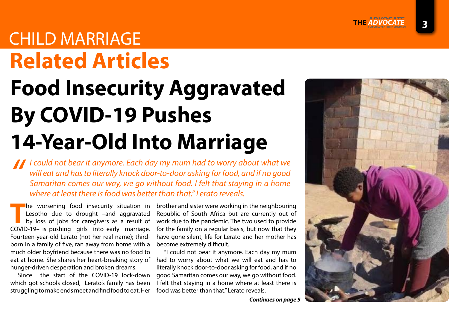**3**

### **Related Articles** CHILD MARRIAGE

## **Food Insecurity Aggravated By COVID-19 Pushes 14-Year-Old Into Marriage**

*I* could not bear it anymore. Each day my mum had to worry about what we will eat and has to literally knock door-to-door asking for food, and if no good Samaritan comes our way, we go without food. I felt that staying in *will eat and has to literally knock door-to-door asking for food, and if no good Samaritan comes our way, we go without food. I felt that staying in a home where at least there is food was better than that." Lerato reveals.*

The worsening food insecurity situation in<br>Lesotho due to drought –and aggravated<br>by loss of jobs for caregivers as a result of Lesotho due to drought –and aggravated by loss of jobs for caregivers as a result of COVID-19– is pushing girls into early marriage. Fourteen-year-old Lerato (not her real name); thirdborn in a family of five, ran away from home with a much older boyfriend because there was no food to eat at home. She shares her heart-breaking story of hunger-driven desperation and broken dreams.

Since the start of the COVID-19 lock-down which got schools closed, Lerato's family has been struggling to make ends meet and find food to eat. Her brother and sister were working in the neighbouring Republic of South Africa but are currently out of work due to the pandemic. The two used to provide for the family on a regular basis, but now that they have gone silent, life for Lerato and her mother has become extremely difficult.

"I could not bear it anymore. Each day my mum had to worry about what we will eat and has to literally knock door-to-door asking for food, and if no good Samaritan comes our way, we go without food. I felt that staying in a home where at least there is food was better than that." Lerato reveals.



*Continues on page 5*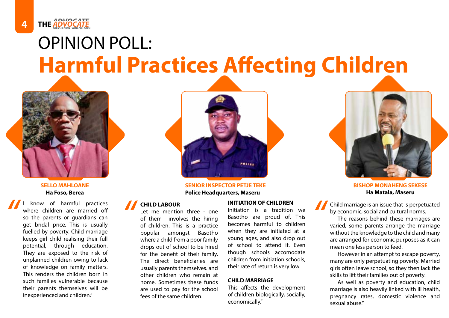## **Harmful Practices Affecting Children** OPINION POLL:



FOR CHILDREN | WITH CHILDREN

know of harmful practices where children are married off so the parents or guardians can get bridal price. This is usually fuelled by poverty. Child marriage keeps girl child realising their full potential, through education. They are exposed to the risk of unplanned children owing to lack of knowledge on family matters. This renders the children born in such families vulnerable because their parents themselves will be inexperienced and children." **1** know of harmful practices<br>
where children are married off<br>
so the parents or guardians can<br>
get bridal price. This is usually<br>
fuelled by poverty. Child marriage<br>  $\frac{1}{2}$ <br> **1** CHILD LABOUR<br>
Let me mention three - one



**Ha Foso, Berea Police Headquarters, Maseru Ha Matala, Maseru**

#### **CHILD LABOUR**

Let me mention three - one of them involves the hiring of children. This is a practice popular amongst Basotho where a child from a poor family drops out of school to be hired for the benefit of their family. The direct beneficiaries are usually parents themselves. and other children who remain at home. Sometimes these funds are used to pay for the school fees of the same children.

Initiation is a tradition we Basotho are proud of. This becomes harmful to children when they are initiated at a young ages, and also drop out of school to attend it. Even though schools accomodate children from initiation schools, their rate of return is very low.

#### **CHILD MARRIAGE**

This affects the development of children biologically, socially, economically."



**SELLO MAHLOANE SENIOR INSPECTOR PETJE TEKE BISHOP MONAHENG SEKESE** 

Child marriage is an issue that is perpetuated by economic, social and cultural norms.

The reasons behind these marriages are varied, some parents arrange the marriage without the knowledge to the child and many are arranged for economic purposes as it can mean one less person to feed.

However in an attempt to escape poverty, many are only perpetuating poverty. Married girls often leave school, so they then lack the skills to lift their families out of poverty.

As well as poverty and education, child marriage is also heavily linked with ill health, pregnancy rates, domestic violence and sexual abuse."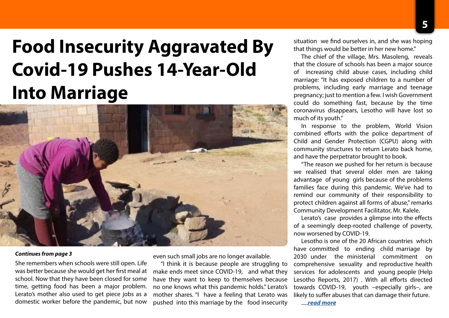## **Food Insecurity Aggravated By Covid-19 Pushes 14-Year-Old Into Marriage**



#### *Continues from page 3*

She remembers when schools were still open. Life was better because she would get her first meal at school. Now that they have been closed for some time, getting food has been a major problem. Lerato's mother also used to get piece jobs as a domestic worker before the pandemic, but now

even such small jobs are no longer available.

"I think it is because people are struggling to make ends meet since COVID-19, and what they have they want to keep to themselves because no one knows what this pandemic holds." Lerato's mother shares. "I have a feeling that Lerato was pushed into this marriage by the food insecurity

situation we find ourselves in, and she was hoping that things would be better in her new home."

The chief of the village, Mrs. Masoleng, reveals that the closure of schools has been a major source of increasing child abuse cases, including child marriage: "It has exposed children to a number of problems, including early marriage and teenage pregnancy; just to mention a few. I wish Government could do something fast, because by the time coronavirus disappears, Lesotho will have lost so much of its youth."

In response to the problem, World Vision combined efforts with the police department of Child and Gender Protection (CGPU) along with community structures to return Lerato back home, and have the perpetrator brought to book.

"The reason we pushed for her return is because we realised that several older men are taking advantage of young girls because of the problems families face during this pandemic. We've had to remind our community of their responsibility to protect children against all forms of abuse," remarks Community Development Facilitator, Mr. Kalele.

Lerato's case provides a glimpse into the effects of a seemingly deep-rooted challenge of poverty, now worsened by COVID-19.

Lesotho is one of the 20 African countries which have committed to ending child marriage by 2030 under the ministerial commitment on comprehensive sexuality and reproductive health services for adolescents and young people (Help Lesotho Reports, 2017) . With all efforts directed towards COVID-19, youth –especially girls–, are likely to suffer abuses that can damage their future. .....*[read more](https://www.wvi.org/stories/lesotho/food-insecurity-aggravated-covid-19-pushes-14-year-old-marriage)*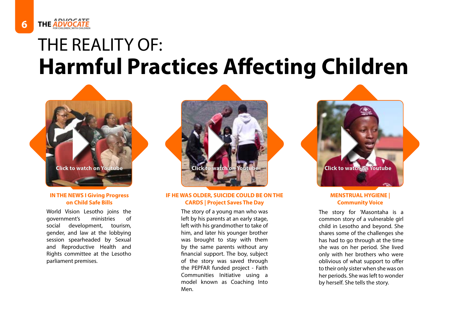## **Harmful Practices Affecting Children** THE REALITY OF:



**6** THE **ADVOCATE** 

#### **IN THE NEWS I Giving Progress on Child Safe Bills**

World Vision Lesotho joins the government's ministries of social development, tourism, gender, and law at the lobbying session spearheaded by Sexual and Reproductive Health and Rights committee at the Lesotho parliament premises.



#### **IF HE WAS OLDER, SUICIDE COULD BE ON THE CARDS | Project Saves The Day**

The story of a young man who was left by his parents at an early stage, left with his grandmother to take of him, and later his younger brother was brought to stay with them by the same parents without any financial support. The boy, subject of the story was saved through the PEPFAR funded project - Faith Communities Initiative using a model known as Coaching Into Men.



#### **MENSTRUAL HYGIENE | Community Voice**

The story for 'Masontaha is a common story of a vulnerable girl child in Lesotho and beyond. She shares some of the challenges she has had to go through at the time she was on her period. She lived only with her brothers who were oblivious of what support to offer to their only sister when she was on her periods. She was left to wonder by herself. She tells the story.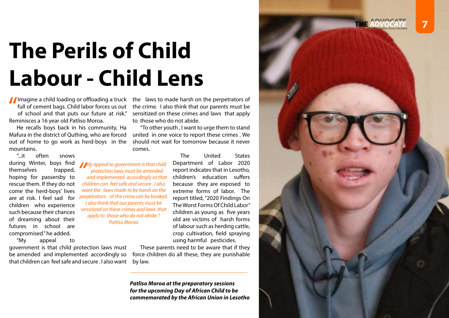## **The Perils of Child Labour - Child Lens**

*My appeal to government is that child protection laws must be amended and implemented accordingly so that children can feel safe and secure Lako protection laws must be amended and implemented accordingly so that children can feel safe and secure . I also want the laws made to be harsh on the perpetrators of the crime can be booked. I also think that our parents must be sensitized on these crimes and laws that apply to those who do not abide ." Patliso Moroa*

Imagine a child loading or offloading a truck the laws to made harsh on the perpetrators of full of cement bags. Child labor forces us out the crime. I also think that our parents must be of school and that puts our future full of cement bags. Child labor forces us out of school and that puts our future at risk." Reminisces a 16 year old Patliso Moroa.

He recalls boys back in his community, Ha Mafura in the district of Quthing, who are forced out of home to go work as herd-boys in the mountains.

"...it often snows during Winter, boys find themselves trapped, hoping for passersby to rescue them. If they do not come the herd-boys' lives are at risk. I feel sad for children who experience such because their chances of dreaming about their futures in school are compromised." he added.

"My appeal to

government is that child protection laws must be amended and implemented accordingly so that children can feel safe and secure . I also want

the crime. I also think that our parents must be sensitized on these crimes and laws that apply to those who do not abide.

"To other youth , I want to urge them to stand united in one voice to report these crimes . We should not wait for tomorrow because it never comes.

> The United States Department of Labor 2020 report indicates that in Lesotho, children's education suffers because they are exposed to extreme forms of labor. The report titled, "2020 Findings On The Worst Forms Of Child Labor" children as young as five years old are victims of harsh forms of labour such as herding cattle, crop cultivation, field spraying using harmful pesticides.

These parents need to be aware that if they force children do all these, they are punishable by law.

*Patliso Moroa at the preparatory sessions for the upcoming Day of African Child to be commemorated by the African Union in Lesotho*